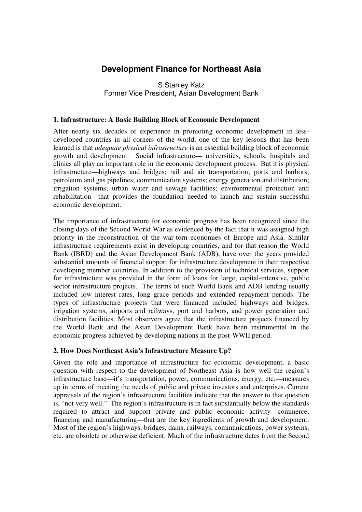# **Development Finance for Northeast Asia**

S.Stanley Katz Former Vice President, Asian Development Bank

## **1. Infrastructure: A Basic Building Block of Economic Development**

After nearly six decades of experience in promoting economic development in lessdeveloped countries in all corners of the world, one of the key lessons that has been learned is that *adequate physical infrastructure* is an essential building block of economic growth and development. Social infrastructure— universities, schools, hospitals and clinics all play an important role in the economic development process. But it is physical infrastructure—highways and bridges; rail and air transportation; ports and harbors; petroleum and gas pipelines; communication systems; energy generation and distribution; irrigation systems; urban water and sewage facilities; environmental protection and rehabilitation—that provides the foundation needed to launch and sustain successful economic development.

The importance of infrastructure for economic progress has been recognized since the closing days of the Second World War as evidenced by the fact that it was assigned high priority in the reconstruction of the war-torn economies of Europe and Asia. Similar infrastructure requirements exist in developing countries, and for that reason the World Bank (IBRD) and the Asian Development Bank (ADB), have over the years provided substantial amounts of financial support for infrastructure development in their respective developing member countries. In addition to the provision of technical services, support for infrastructure was provided in the form of loans for large, capital-intensive, public sector infrastructure projects. The terms of such World Bank and ADB lending usually included low interest rates, long grace periods and extended repayment periods. The types of infrastructure projects that were financed included highways and bridges, irrigation systems, airports and railways, port and harbors, and power generation and distribution facilities. Most observers agree that the infrastructure projects financed by the World Bank and the Asian Development Bank have been instrumental in the economic progress achieved by developing nations in the post-WWII period.

# **2. How Does Northeast Asia's Infrastructure Measure Up?**

Given the role and importance of infrastructure for economic development, a basic question with respect to the development of Northeast Asia is how well the region's infrastructure base—it's transportation, power, communications, energy, etc.—measures up in terms of meeting the needs of public and private investors and enterprises. Current appraisals of the region's infrastructure facilities indicate that the answer to that question is, "not very well." The region's infrastructure is in fact substantially below the standards required to attract and support private and public economic activity—commerce, financing and manufacturing—that are the key ingredients of growth and development. Most of the region's highways, bridges, dams, railways, communications, power systems, etc. are obsolete or otherwise deficient. Much of the infrastructure dates from the Second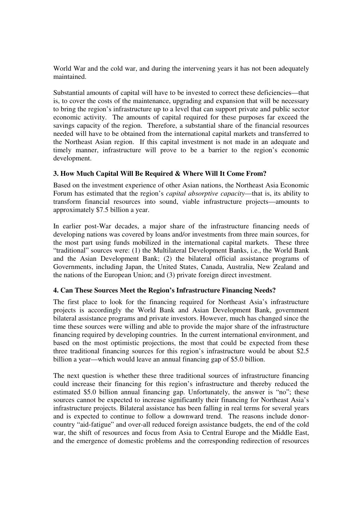World War and the cold war, and during the intervening years it has not been adequately maintained.

Substantial amounts of capital will have to be invested to correct these deficiencies—that is, to cover the costs of the maintenance, upgrading and expansion that will be necessary to bring the region's infrastructure up to a level that can support private and public sector economic activity. The amounts of capital required for these purposes far exceed the savings capacity of the region. Therefore, a substantial share of the financial resources needed will have to be obtained from the international capital markets and transferred to the Northeast Asian region. If this capital investment is not made in an adequate and timely manner, infrastructure will prove to be a barrier to the region's economic development.

# **3. How Much Capital Will Be Required & Where Will It Come From?**

Based on the investment experience of other Asian nations, the Northeast Asia Economic Forum has estimated that the region's *capital absorptive capacity*—that is, its ability to transform financial resources into sound, viable infrastructure projects—amounts to approximately \$7.5 billion a year.

In earlier post-War decades, a major share of the infrastructure financing needs of developing nations was covered by loans and/or investments from three main sources, for the most part using funds mobilized in the international capital markets. These three "traditional" sources were: (1) the Multilateral Development Banks, i.e., the World Bank and the Asian Development Bank; (2) the bilateral official assistance programs of Governments, including Japan, the United States, Canada, Australia, New Zealand and the nations of the European Union; and (3) private foreign direct investment.

# **4. Can These Sources Meet the Region's Infrastructure Financing Needs?**

The first place to look for the financing required for Northeast Asia's infrastructure projects is accordingly the World Bank and Asian Development Bank, government bilateral assistance programs and private investors. However, much has changed since the time these sources were willing and able to provide the major share of the infrastructure financing required by developing countries. In the current international environment, and based on the most optimistic projections, the most that could be expected from these three traditional financing sources for this region's infrastructure would be about \$2.5 billion a year—which would leave an annual financing gap of \$5.0 billion.

The next question is whether these three traditional sources of infrastructure financing could increase their financing for this region's infrastructure and thereby reduced the estimated \$5.0 billion annual financing gap. Unfortunately, the answer is "no"; these sources cannot be expected to increase significantly their financing for Northeast Asia's infrastructure projects. Bilateral assistance has been falling in real terms for several years and is expected to continue to follow a downward trend. The reasons include donorcountry "aid-fatigue" and over-all reduced foreign assistance budgets, the end of the cold war, the shift of resources and focus from Asia to Central Europe and the Middle East, and the emergence of domestic problems and the corresponding redirection of resources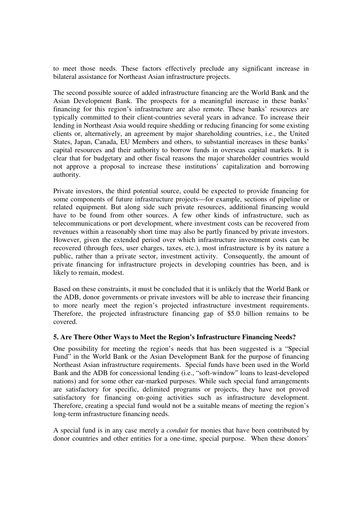to meet those needs. These factors effectively preclude any significant increase in bilateral assistance for Northeast Asian infrastructure projects.

The second possible source of added infrastructure financing are the World Bank and the Asian Development Bank. The prospects for a meaningful increase in these banks' financing for this region's infrastructure are also remote. These banks' resources are typically committed to their client-countries several years in advance. To increase their lending in Northeast Asia would require shedding or reducing financing for some existing clients or, alternatively, an agreement by major shareholding countries, i.e., the United States, Japan, Canada, EU Members and others, to substantial increases in these banks' capital resources and their authority to borrow funds in overseas capital markets. It is clear that for budgetary and other fiscal reasons the major shareholder countries would not approve a proposal to increase these institutions' capitalization and borrowing authority.

Private investors, the third potential source, could be expected to provide financing for some components of future infrastructure projects—for example, sections of pipeline or related equipment. But along side such private resources, additional financing would have to be found from other sources. A few other kinds of infrastructure, such as telecommunications or port development, where investment costs can be recovered from revenues within a reasonably short time may also be partly financed by private investors. However, given the extended period over which infrastructure investment costs can be recovered (through fees, user charges, taxes, etc.), most infrastructure is by its nature a public, rather than a private sector, investment activity. Consequently, the amount of private financing for infrastructure projects in developing countries has been, and is likely to remain, modest.

Based on these constraints, it must be concluded that it is unlikely that the World Bank or the ADB, donor governments or private investors will be able to increase their financing to more nearly meet the region's projected infrastructure investment requirements. Therefore, the projected infrastructure financing gap of \$5.0 billion remains to be covered.

#### **5. Are There Other Ways to Meet the Region's Infrastructure Financing Needs?**

One possibility for meeting the region's needs that has been suggested is a "Special Fund" in the World Bank or the Asian Development Bank for the purpose of financing Northeast Asian infrastructure requirements. Special funds have been used in the World Bank and the ADB for concessional lending (i.e., "soft-window" loans to least-developed nations) and for some other ear-marked purposes. While such special fund arrangements are satisfactory for specific, delimited programs or projects, they have not proved satisfactory for financing on-going activities such as infrastructure development. Therefore, creating a special fund would not be a suitable means of meeting the region's long-term infrastructure financing needs.

A special fund is in any case merely a *conduit* for monies that have been contributed by donor countries and other entities for a one-time, special purpose. When these donors'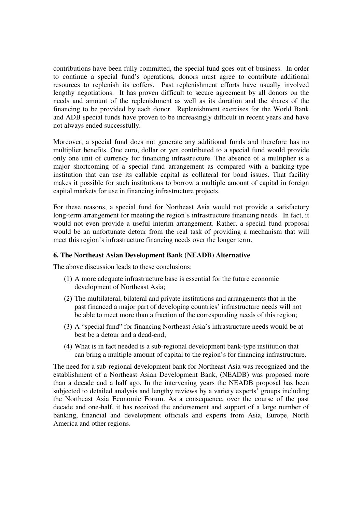contributions have been fully committed, the special fund goes out of business. In order to continue a special fund's operations, donors must agree to contribute additional resources to replenish its coffers. Past replenishment efforts have usually involved lengthy negotiations. It has proven difficult to secure agreement by all donors on the needs and amount of the replenishment as well as its duration and the shares of the financing to be provided by each donor. Replenishment exercises for the World Bank and ADB special funds have proven to be increasingly difficult in recent years and have not always ended successfully.

Moreover, a special fund does not generate any additional funds and therefore has no multiplier benefits. One euro, dollar or yen contributed to a special fund would provide only one unit of currency for financing infrastructure. The absence of a multiplier is a major shortcoming of a special fund arrangement as compared with a banking-type institution that can use its callable capital as collateral for bond issues. That facility makes it possible for such institutions to borrow a multiple amount of capital in foreign capital markets for use in financing infrastructure projects.

For these reasons, a special fund for Northeast Asia would not provide a satisfactory long-term arrangement for meeting the region's infrastructure financing needs. In fact, it would not even provide a useful interim arrangement. Rather, a special fund proposal would be an unfortunate detour from the real task of providing a mechanism that will meet this region's infrastructure financing needs over the longer term.

### **6. The Northeast Asian Development Bank (NEADB) Alternative**

The above discussion leads to these conclusions:

- (1) A more adequate infrastructure base is essential for the future economic development of Northeast Asia;
- (2) The multilateral, bilateral and private institutions and arrangements that in the past financed a major part of developing countries' infrastructure needs will not be able to meet more than a fraction of the corresponding needs of this region;
- (3) A "special fund" for financing Northeast Asia's infrastructure needs would be at best be a detour and a dead-end;
- (4) What is in fact needed is a sub-regional development bank-type institution that can bring a multiple amount of capital to the region's for financing infrastructure.

The need for a sub-regional development bank for Northeast Asia was recognized and the establishment of a Northeast Asian Development Bank, (NEADB) was proposed more than a decade and a half ago. In the intervening years the NEADB proposal has been subjected to detailed analysis and lengthy reviews by a variety experts' groups including the Northeast Asia Economic Forum. As a consequence, over the course of the past decade and one-half, it has received the endorsement and support of a large number of banking, financial and development officials and experts from Asia, Europe, North America and other regions.